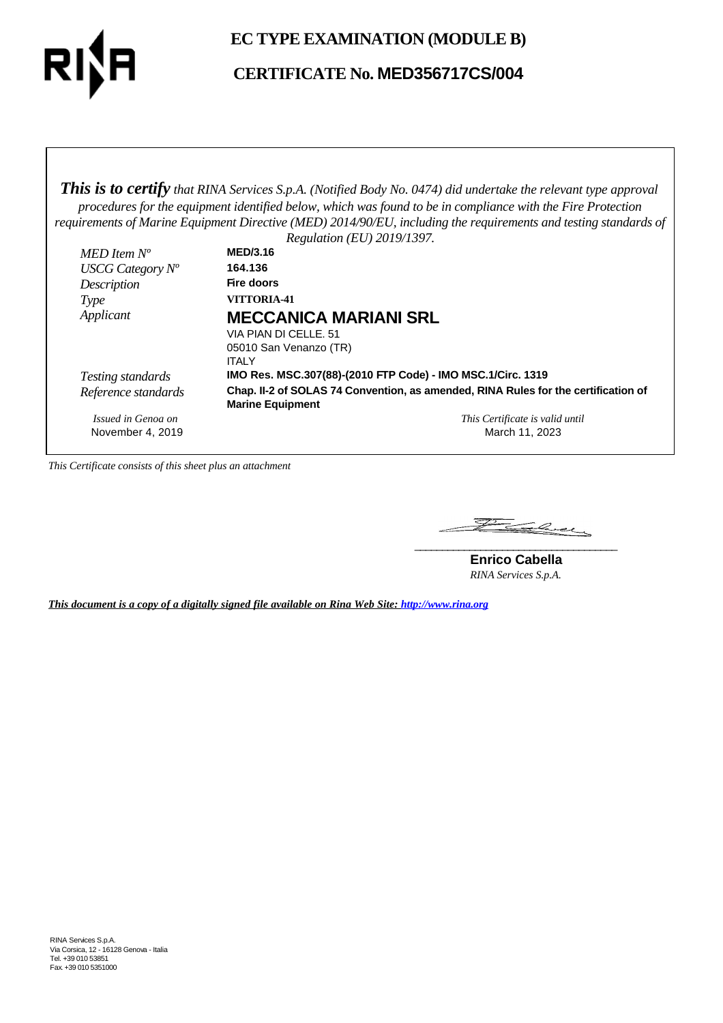

## **EC TYPE EXAMINATION (MODULE B)**

# **CERTIFICATE No. MED356717CS/004**

*This is to certify that RINA Services S.p.A. (Notified Body No. 0474) did undertake the relevant type approval procedures for the equipment identified below, which was found to be in compliance with the Fire Protection requirements of Marine Equipment Directive (MED) 2014/90/EU, including the requirements and testing standards of*

|                     | Regulation (EU) 2019/1397.                                                                                    |
|---------------------|---------------------------------------------------------------------------------------------------------------|
| MED Item $N^o$      | <b>MED/3.16</b>                                                                                               |
| USCG Category $N^o$ | 164.136                                                                                                       |
| Description         | Fire doors                                                                                                    |
| Type                | <b>VITTORIA-41</b>                                                                                            |
| Applicant           | <b>MECCANICA MARIANI SRL</b>                                                                                  |
|                     | VIA PIAN DI CELLE, 51                                                                                         |
|                     | 05010 San Venanzo (TR)                                                                                        |
|                     | <b>ITALY</b>                                                                                                  |
| Testing standards   | IMO Res. MSC.307(88)-(2010 FTP Code) - IMO MSC.1/Circ. 1319                                                   |
| Reference standards | Chap. II-2 of SOLAS 74 Convention, as amended, RINA Rules for the certification of<br><b>Marine Equipment</b> |
| Issued in Genoa on  | This Certificate is valid until                                                                               |
| November 4, 2019    | March 11, 2023                                                                                                |

*This Certificate consists of this sheet plus an attachment*

Falcey **\_\_\_\_\_\_\_\_\_\_\_\_\_\_\_\_\_\_\_\_\_\_\_\_\_\_\_\_\_\_\_\_\_\_\_\_\_**

**Enrico Cabella** *RINA Services S.p.A.*

*This document is a copy of a digitally signed file available on Rina Web Site: http://www.rina.org*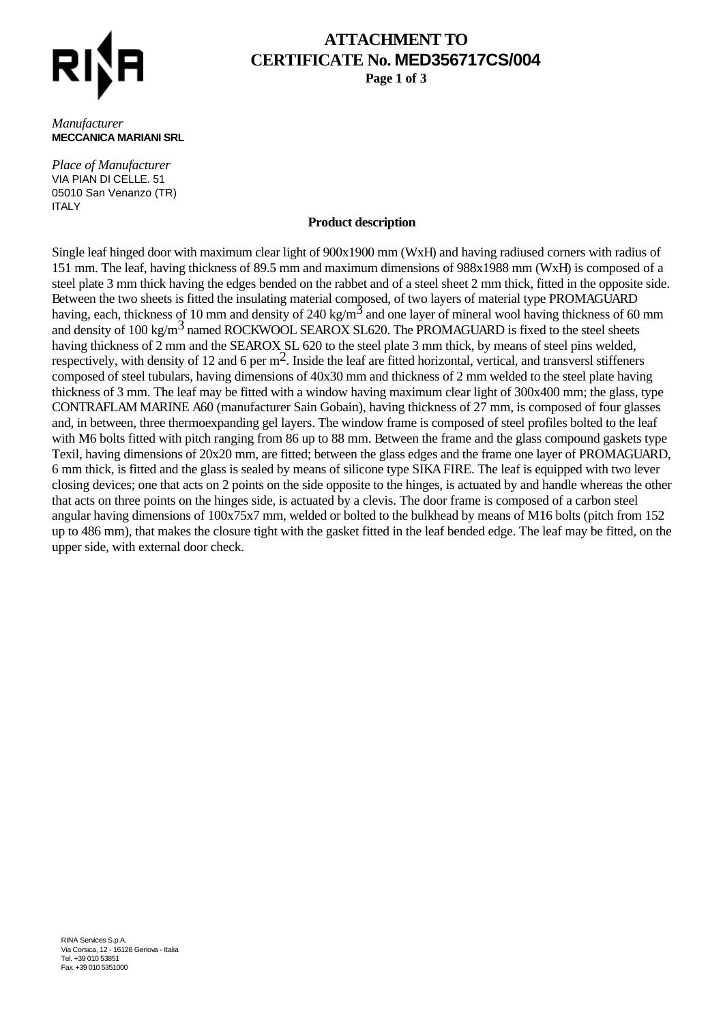

# **ATTACHMENT TO CERTIFICATE No. MED356717CS/004**

**Page 1 of 3**

#### *Manufacturer* **MECCANICA MARIANI SRL**

*Place of Manufacturer* VIA PIAN DI CELLE. 51 05010 San Venanzo (TR) **ITALY** 

### **Product description**

Single leaf hinged door with maximum clear light of 900x1900 mm (WxH) and having radiused corners with radius of 151 mm. The leaf, having thickness of 89.5 mm and maximum dimensions of 988x1988 mm (WxH) is composed of a steel plate 3 mm thick having the edges bended on the rabbet and of a steel sheet 2 mm thick, fitted in the opposite side. Between the two sheets is fitted the insulating material composed, of two layers of material type PROMAGUARD having, each, thickness of 10 mm and density of 240 kg/m<sup>3</sup> and one layer of mineral wool having thickness of 60 mm and density of 100 kg/m<sup>3</sup> named ROCKWOOL SEAROX SL620. The PROMAGUARD is fixed to the steel sheets having thickness of 2 mm and the SEAROX SL 620 to the steel plate 3 mm thick, by means of steel pins welded, respectively, with density of 12 and 6 per  $m^2$ . Inside the leaf are fitted horizontal, vertical, and transversl stiffeners composed of steel tubulars, having dimensions of 40x30 mm and thickness of 2 mm welded to the steel plate having thickness of 3 mm. The leaf may be fitted with a window having maximum clear light of 300x400 mm; the glass, type CONTRAFLAM MARINE A60 (manufacturer Sain Gobain), having thickness of 27 mm, is composed of four glasses and, in between, three thermoexpanding gel layers. The window frame is composed of steel profiles bolted to the leaf with M6 bolts fitted with pitch ranging from 86 up to 88 mm. Between the frame and the glass compound gaskets type Texil, having dimensions of 20x20 mm, are fitted; between the glass edges and the frame one layer of PROMAGUARD, 6 mm thick, is fitted and the glass is sealed by means of silicone type SIKA FIRE. The leaf is equipped with two lever closing devices; one that acts on 2 points on the side opposite to the hinges, is actuated by and handle whereas the other that acts on three points on the hinges side, is actuated by a clevis. The door frame is composed of a carbon steel angular having dimensions of 100x75x7 mm, welded or bolted to the bulkhead by means of M16 bolts (pitch from 152 up to 486 mm), that makes the closure tight with the gasket fitted in the leaf bended edge. The leaf may be fitted, on the upper side, with external door check.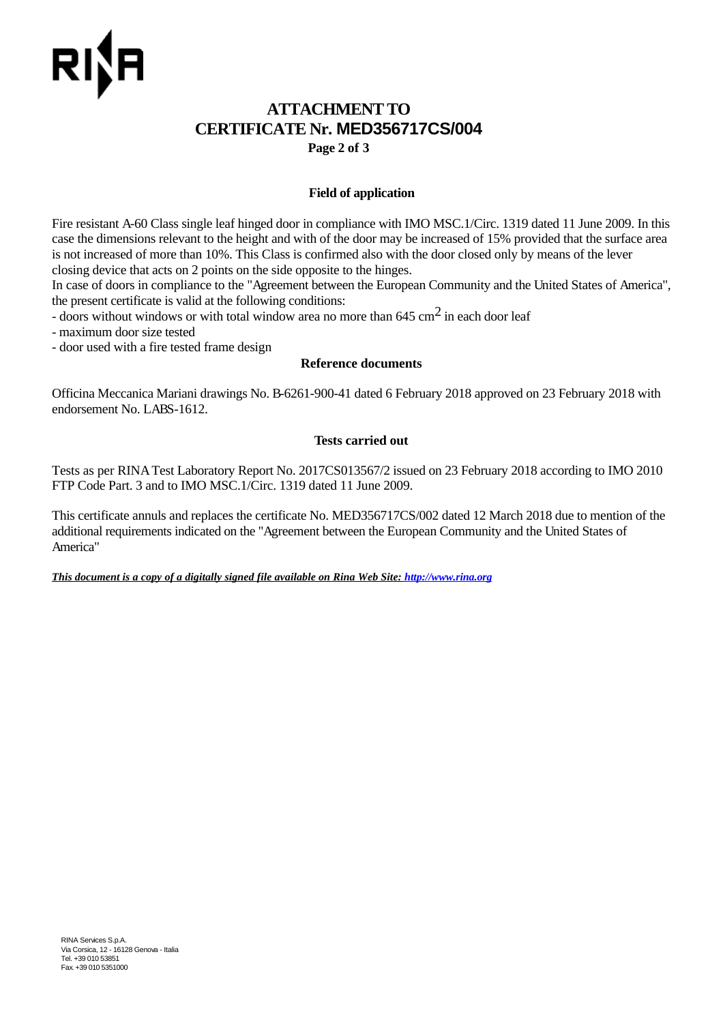# **ATTACHMENT TO CERTIFICATE Nr. MED356717CS/004**

**Page 2 of 3**

## **Field of application**

Fire resistant A-60 Class single leaf hinged door in compliance with IMO MSC.1/Circ. 1319 dated 11 June 2009. In this case the dimensions relevant to the height and with of the door may be increased of 15% provided that the surface area is not increased of more than 10%. This Class is confirmed also with the door closed only by means of the lever closing device that acts on 2 points on the side opposite to the hinges.

In case of doors in compliance to the "Agreement between the European Community and the United States of America", the present certificate is valid at the following conditions:

- doors without windows or with total window area no more than  $645 \text{ cm}^2$  in each door leaf

- maximum door size tested

- door used with a fire tested frame design

### **Reference documents**

Officina Meccanica Mariani drawings No. B-6261-900-41 dated 6 February 2018 approved on 23 February 2018 with endorsement No. LABS-1612.

## **Tests carried out**

Tests as per RINA Test Laboratory Report No. 2017CS013567/2 issued on 23 February 2018 according to IMO 2010 FTP Code Part. 3 and to IMO MSC.1/Circ. 1319 dated 11 June 2009.

This certificate annuls and replaces the certificate No. MED356717CS/002 dated 12 March 2018 due to mention of the additional requirements indicated on the "Agreement between the European Community and the United States of America"

*This document is a copy of a digitally signed file available on Rina Web Site: http://www.rina.org*